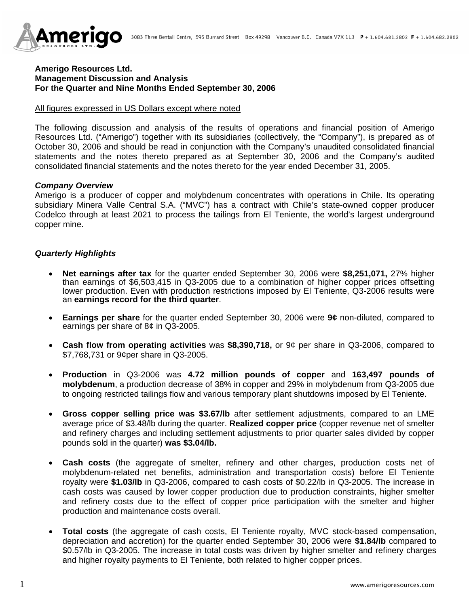

### **Amerigo Resources Ltd. Management Discussion and Analysis For the Quarter and Nine Months Ended September 30, 2006**

#### All figures expressed in US Dollars except where noted

The following discussion and analysis of the results of operations and financial position of Amerigo Resources Ltd. ("Amerigo") together with its subsidiaries (collectively, the "Company"), is prepared as of October 30, 2006 and should be read in conjunction with the Company's unaudited consolidated financial statements and the notes thereto prepared as at September 30, 2006 and the Company's audited consolidated financial statements and the notes thereto for the year ended December 31, 2005.

#### *Company Overview*

Amerigo is a producer of copper and molybdenum concentrates with operations in Chile. Its operating subsidiary Minera Valle Central S.A. ("MVC") has a contract with Chile's state-owned copper producer Codelco through at least 2021 to process the tailings from El Teniente, the world's largest underground copper mine.

### *Quarterly Highlights*

- **Net earnings after tax** for the quarter ended September 30, 2006 were **\$8,251,071,** 27% higher than earnings of \$6,503,415 in Q3-2005 due to a combination of higher copper prices offsetting lower production. Even with production restrictions imposed by El Teniente, Q3-2006 results were an **earnings record for the third quarter**.
- **Earnings per share** for the quarter ended September 30, 2006 were **9¢** non-diluted, compared to earnings per share of 8¢ in Q3-2005.
- **Cash flow from operating activities** was **\$8,390,718,** or 9¢ per share in Q3-2006, compared to \$7,768,731 or 9¢per share in Q3-2005.
- **Production** in Q3-2006 was **4.72 million pounds of copper** and **163,497 pounds of molybdenum**, a production decrease of 38% in copper and 29% in molybdenum from Q3-2005 due to ongoing restricted tailings flow and various temporary plant shutdowns imposed by El Teniente.
- **Gross copper selling price was \$3.67/lb** after settlement adjustments, compared to an LME average price of \$3.48/lb during the quarter. **Realized copper price** (copper revenue net of smelter and refinery charges and including settlement adjustments to prior quarter sales divided by copper pounds sold in the quarter) **was \$3.04/lb.**
- **Cash costs** (the aggregate of smelter, refinery and other charges, production costs net of molybdenum-related net benefits, administration and transportation costs) before El Teniente royalty were **\$1.03/lb** in Q3-2006, compared to cash costs of \$0.22/lb in Q3-2005. The increase in cash costs was caused by lower copper production due to production constraints, higher smelter and refinery costs due to the effect of copper price participation with the smelter and higher production and maintenance costs overall.
- **Total costs** (the aggregate of cash costs, El Teniente royalty, MVC stock-based compensation, depreciation and accretion) for the quarter ended September 30, 2006 were **\$1.84/lb** compared to \$0.57/lb in Q3-2005. The increase in total costs was driven by higher smelter and refinery charges and higher royalty payments to El Teniente, both related to higher copper prices.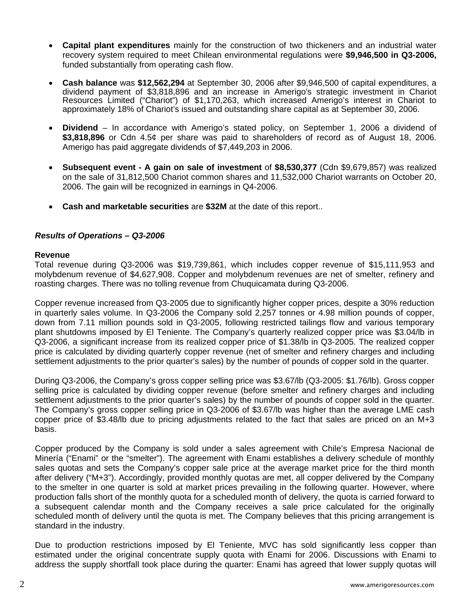- **Capital plant expenditures** mainly for the construction of two thickeners and an industrial water recovery system required to meet Chilean environmental regulations were **\$9,946,500 in Q3-2006,** funded substantially from operating cash flow.
- **Cash balance** was **\$12,562,294** at September 30, 2006 after \$9,946,500 of capital expenditures, a dividend payment of \$3,818,896 and an increase in Amerigo's strategic investment in Chariot Resources Limited ("Chariot") of \$1,170,263, which increased Amerigo's interest in Chariot to approximately 18% of Chariot's issued and outstanding share capital as at September 30, 2006.
- **Dividend**  In accordance with Amerigo's stated policy, on September 1, 2006 a dividend of **\$3,818,896** or Cdn 4.5¢ per share was paid to shareholders of record as of August 18, 2006. Amerigo has paid aggregate dividends of \$7,449,203 in 2006.
- **Subsequent event A gain on sale of investment** of **\$8,530,377** (Cdn \$9,679,857) was realized on the sale of 31,812,500 Chariot common shares and 11,532,000 Chariot warrants on October 20, 2006. The gain will be recognized in earnings in Q4-2006.
- **Cash and marketable securities** are **\$32M** at the date of this report..

## *Results of Operations – Q3-2006*

#### **Revenue**

Total revenue during Q3-2006 was \$19,739,861, which includes copper revenue of \$15,111,953 and molybdenum revenue of \$4,627,908. Copper and molybdenum revenues are net of smelter, refinery and roasting charges. There was no tolling revenue from Chuquicamata during Q3-2006.

Copper revenue increased from Q3-2005 due to significantly higher copper prices, despite a 30% reduction in quarterly sales volume. In Q3-2006 the Company sold 2,257 tonnes or 4.98 million pounds of copper, down from 7.11 million pounds sold in Q3-2005, following restricted tailings flow and various temporary plant shutdowns imposed by El Teniente. The Company's quarterly realized copper price was \$3.04/lb in Q3-2006, a significant increase from its realized copper price of \$1.38/lb in Q3-2005. The realized copper price is calculated by dividing quarterly copper revenue (net of smelter and refinery charges and including settlement adjustments to the prior quarter's sales) by the number of pounds of copper sold in the quarter.

During Q3-2006, the Company's gross copper selling price was \$3.67/lb (Q3-2005: \$1.76/lb). Gross copper selling price is calculated by dividing copper revenue (before smelter and refinery charges and including settlement adjustments to the prior quarter's sales) by the number of pounds of copper sold in the quarter. The Company's gross copper selling price in Q3-2006 of \$3.67/lb was higher than the average LME cash copper price of \$3.48/lb due to pricing adjustments related to the fact that sales are priced on an M+3 basis.

Copper produced by the Company is sold under a sales agreement with Chile's Empresa Nacional de Minería ("Enami" or the "smelter"). The agreement with Enami establishes a delivery schedule of monthly sales quotas and sets the Company's copper sale price at the average market price for the third month after delivery ("M+3"). Accordingly, provided monthly quotas are met, all copper delivered by the Company to the smelter in one quarter is sold at market prices prevailing in the following quarter. However, where production falls short of the monthly quota for a scheduled month of delivery, the quota is carried forward to a subsequent calendar month and the Company receives a sale price calculated for the originally scheduled month of delivery until the quota is met. The Company believes that this pricing arrangement is standard in the industry.

Due to production restrictions imposed by El Teniente, MVC has sold significantly less copper than estimated under the original concentrate supply quota with Enami for 2006. Discussions with Enami to address the supply shortfall took place during the quarter: Enami has agreed that lower supply quotas will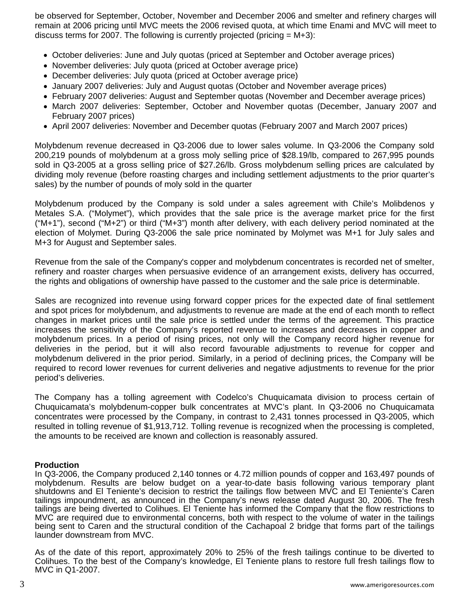be observed for September, October, November and December 2006 and smelter and refinery charges will remain at 2006 pricing until MVC meets the 2006 revised quota, at which time Enami and MVC will meet to discuss terms for 2007. The following is currently projected (pricing  $= M+3$ ):

- October deliveries: June and July quotas (priced at September and October average prices)
- November deliveries: July quota (priced at October average price)
- December deliveries: July quota (priced at October average price)
- January 2007 deliveries: July and August quotas (October and November average prices)
- February 2007 deliveries: August and September quotas (November and December average prices)
- March 2007 deliveries: September, October and November quotas (December, January 2007 and February 2007 prices)
- April 2007 deliveries: November and December quotas (February 2007 and March 2007 prices)

Molybdenum revenue decreased in Q3-2006 due to lower sales volume. In Q3-2006 the Company sold 200,219 pounds of molybdenum at a gross moly selling price of \$28.19/lb, compared to 267,995 pounds sold in Q3-2005 at a gross selling price of \$27.26/lb. Gross molybdenum selling prices are calculated by dividing moly revenue (before roasting charges and including settlement adjustments to the prior quarter's sales) by the number of pounds of moly sold in the quarter

Molybdenum produced by the Company is sold under a sales agreement with Chile's Molibdenos y Metales S.A. ("Molymet"), which provides that the sale price is the average market price for the first ("M+1"), second ("M+2") or third ("M+3") month after delivery, with each delivery period nominated at the election of Molymet. During Q3-2006 the sale price nominated by Molymet was M+1 for July sales and M+3 for August and September sales.

Revenue from the sale of the Company's copper and molybdenum concentrates is recorded net of smelter, refinery and roaster charges when persuasive evidence of an arrangement exists, delivery has occurred, the rights and obligations of ownership have passed to the customer and the sale price is determinable.

Sales are recognized into revenue using forward copper prices for the expected date of final settlement and spot prices for molybdenum, and adjustments to revenue are made at the end of each month to reflect changes in market prices until the sale price is settled under the terms of the agreement. This practice increases the sensitivity of the Company's reported revenue to increases and decreases in copper and molybdenum prices. In a period of rising prices, not only will the Company record higher revenue for deliveries in the period, but it will also record favourable adjustments to revenue for copper and molybdenum delivered in the prior period. Similarly, in a period of declining prices, the Company will be required to record lower revenues for current deliveries and negative adjustments to revenue for the prior period's deliveries.

The Company has a tolling agreement with Codelco's Chuquicamata division to process certain of Chuquicamata's molybdenum-copper bulk concentrates at MVC's plant. In Q3-2006 no Chuquicamata concentrates were processed by the Company, in contrast to 2,431 tonnes processed in Q3-2005, which resulted in tolling revenue of \$1,913,712. Tolling revenue is recognized when the processing is completed, the amounts to be received are known and collection is reasonably assured.

### **Production**

In Q3-2006, the Company produced 2,140 tonnes or 4.72 million pounds of copper and 163,497 pounds of molybdenum. Results are below budget on a year-to-date basis following various temporary plant shutdowns and El Teniente's decision to restrict the tailings flow between MVC and El Teniente's Caren tailings impoundment, as announced in the Company's news release dated August 30, 2006. The fresh tailings are being diverted to Colihues. El Teniente has informed the Company that the flow restrictions to MVC are required due to environmental concerns, both with respect to the volume of water in the tailings being sent to Caren and the structural condition of the Cachapoal 2 bridge that forms part of the tailings launder downstream from MVC.

As of the date of this report, approximately 20% to 25% of the fresh tailings continue to be diverted to Colihues. To the best of the Company's knowledge, El Teniente plans to restore full fresh tailings flow to MVC in Q1-2007.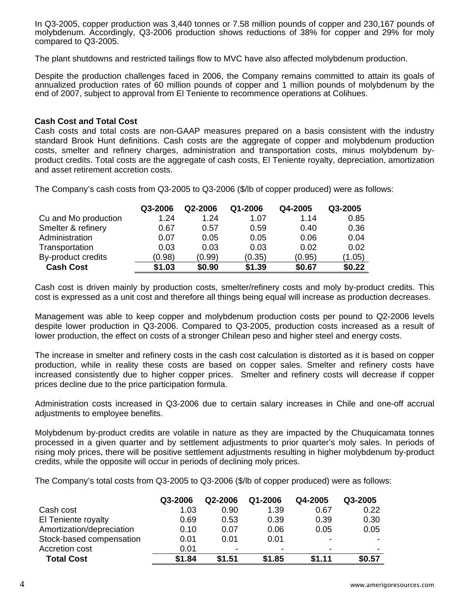In Q3-2005, copper production was 3,440 tonnes or 7.58 million pounds of copper and 230,167 pounds of molybdenum. Accordingly, Q3-2006 production shows reductions of 38% for copper and 29% for moly compared to Q3-2005.

The plant shutdowns and restricted tailings flow to MVC have also affected molybdenum production.

Despite the production challenges faced in 2006, the Company remains committed to attain its goals of annualized production rates of 60 million pounds of copper and 1 million pounds of molybdenum by the end of 2007, subject to approval from El Teniente to recommence operations at Colihues.

### **Cash Cost and Total Cost**

Cash costs and total costs are non-GAAP measures prepared on a basis consistent with the industry standard Brook Hunt definitions. Cash costs are the aggregate of copper and molybdenum production costs, smelter and refinery charges, administration and transportation costs, minus molybdenum byproduct credits. Total costs are the aggregate of cash costs, El Teniente royalty, depreciation, amortization and asset retirement accretion costs.

The Company's cash costs from Q3-2005 to Q3-2006 (\$/lb of copper produced) were as follows:

|                      | Q3-2006 | Q2-2006 | Q1-2006 | Q4-2005 | Q3-2005 |
|----------------------|---------|---------|---------|---------|---------|
| Cu and Mo production | 1.24    | 1.24    | 1.07    | 1.14    | 0.85    |
| Smelter & refinery   | 0.67    | 0.57    | 0.59    | 0.40    | 0.36    |
| Administration       | 0.07    | 0.05    | 0.05    | 0.06    | 0.04    |
| Transportation       | 0.03    | 0.03    | 0.03    | 0.02    | 0.02    |
| By-product credits   | (0.98)  | (0.99)  | (0.35)  | (0.95)  | (1.05)  |
| <b>Cash Cost</b>     | \$1.03  | \$0.90  | \$1.39  | \$0.67  | \$0.22  |

Cash cost is driven mainly by production costs, smelter/refinery costs and moly by-product credits. This cost is expressed as a unit cost and therefore all things being equal will increase as production decreases.

Management was able to keep copper and molybdenum production costs per pound to Q2-2006 levels despite lower production in Q3-2006. Compared to Q3-2005, production costs increased as a result of lower production, the effect on costs of a stronger Chilean peso and higher steel and energy costs.

The increase in smelter and refinery costs in the cash cost calculation is distorted as it is based on copper production, while in reality these costs are based on copper sales. Smelter and refinery costs have increased consistently due to higher copper prices. Smelter and refinery costs will decrease if copper prices decline due to the price participation formula.

Administration costs increased in Q3-2006 due to certain salary increases in Chile and one-off accrual adjustments to employee benefits.

Molybdenum by-product credits are volatile in nature as they are impacted by the Chuquicamata tonnes processed in a given quarter and by settlement adjustments to prior quarter's moly sales. In periods of rising moly prices, there will be positive settlement adjustments resulting in higher molybdenum by-product credits, while the opposite will occur in periods of declining moly prices.

The Company's total costs from Q3-2005 to Q3-2006 (\$/lb of copper produced) were as follows:

|                           | Q3-2006 | Q2-2006        | Q1-2006                  | Q4-2005 | Q3-2005 |
|---------------------------|---------|----------------|--------------------------|---------|---------|
| Cash cost                 | 1.03    | 0.90           | 1.39                     | 0.67    | 0.22    |
| El Teniente royalty       | 0.69    | 0.53           | 0.39                     | 0.39    | 0.30    |
| Amortization/depreciation | 0.10    | 0.07           | 0.06                     | 0.05    | 0.05    |
| Stock-based compensation  | 0.01    | 0.01           | 0.01                     | -       |         |
| Accretion cost            | 0.01    | $\blacksquare$ | $\overline{\phantom{0}}$ | -       |         |
| <b>Total Cost</b>         | \$1.84  | \$1.51         | \$1.85                   | \$1.11  | \$0.57  |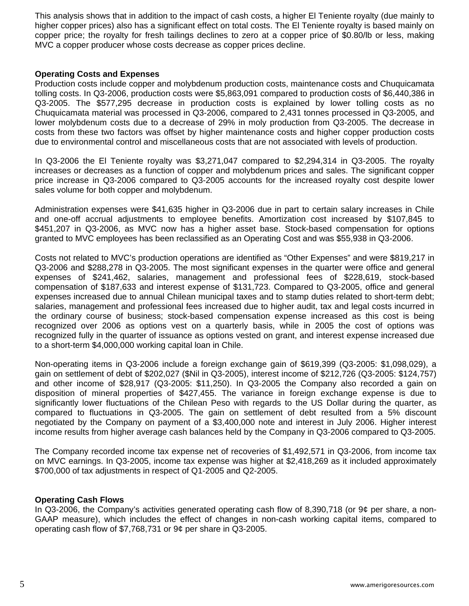This analysis shows that in addition to the impact of cash costs, a higher El Teniente royalty (due mainly to higher copper prices) also has a significant effect on total costs. The El Teniente royalty is based mainly on copper price; the royalty for fresh tailings declines to zero at a copper price of \$0.80/lb or less, making MVC a copper producer whose costs decrease as copper prices decline.

## **Operating Costs and Expenses**

Production costs include copper and molybdenum production costs, maintenance costs and Chuquicamata tolling costs. In Q3-2006, production costs were \$5,863,091 compared to production costs of \$6,440,386 in Q3-2005. The \$577,295 decrease in production costs is explained by lower tolling costs as no Chuquicamata material was processed in Q3-2006, compared to 2,431 tonnes processed in Q3-2005, and lower molybdenum costs due to a decrease of 29% in moly production from Q3-2005. The decrease in costs from these two factors was offset by higher maintenance costs and higher copper production costs due to environmental control and miscellaneous costs that are not associated with levels of production.

In Q3-2006 the El Teniente royalty was \$3,271,047 compared to \$2,294,314 in Q3-2005. The royalty increases or decreases as a function of copper and molybdenum prices and sales. The significant copper price increase in Q3-2006 compared to Q3-2005 accounts for the increased royalty cost despite lower sales volume for both copper and molybdenum.

Administration expenses were \$41,635 higher in Q3-2006 due in part to certain salary increases in Chile and one-off accrual adjustments to employee benefits. Amortization cost increased by \$107,845 to \$451,207 in Q3-2006, as MVC now has a higher asset base. Stock-based compensation for options granted to MVC employees has been reclassified as an Operating Cost and was \$55,938 in Q3-2006.

Costs not related to MVC's production operations are identified as "Other Expenses" and were \$819,217 in Q3-2006 and \$288,278 in Q3-2005. The most significant expenses in the quarter were office and general expenses of \$241,462, salaries, management and professional fees of \$228,619, stock-based compensation of \$187,633 and interest expense of \$131,723. Compared to Q3-2005, office and general expenses increased due to annual Chilean municipal taxes and to stamp duties related to short-term debt; salaries, management and professional fees increased due to higher audit, tax and legal costs incurred in the ordinary course of business; stock-based compensation expense increased as this cost is being recognized over 2006 as options vest on a quarterly basis, while in 2005 the cost of options was recognized fully in the quarter of issuance as options vested on grant, and interest expense increased due to a short-term \$4,000,000 working capital loan in Chile.

Non-operating items in Q3-2006 include a foreign exchange gain of \$619,399 (Q3-2005: \$1,098,029), a gain on settlement of debt of \$202,027 (\$Nil in Q3-2005), interest income of \$212,726 (Q3-2005: \$124,757) and other income of \$28,917 (Q3-2005: \$11,250). In Q3-2005 the Company also recorded a gain on disposition of mineral properties of \$427,455. The variance in foreign exchange expense is due to significantly lower fluctuations of the Chilean Peso with regards to the US Dollar during the quarter, as compared to fluctuations in Q3-2005. The gain on settlement of debt resulted from a 5% discount negotiated by the Company on payment of a \$3,400,000 note and interest in July 2006. Higher interest income results from higher average cash balances held by the Company in Q3-2006 compared to Q3-2005.

The Company recorded income tax expense net of recoveries of \$1,492,571 in Q3-2006, from income tax on MVC earnings. In Q3-2005, income tax expense was higher at \$2,418,269 as it included approximately \$700,000 of tax adjustments in respect of Q1-2005 and Q2-2005.

## **Operating Cash Flows**

In Q3-2006, the Company's activities generated operating cash flow of 8,390,718 (or 9¢ per share, a non-GAAP measure), which includes the effect of changes in non-cash working capital items, compared to operating cash flow of \$7,768,731 or 9¢ per share in Q3-2005.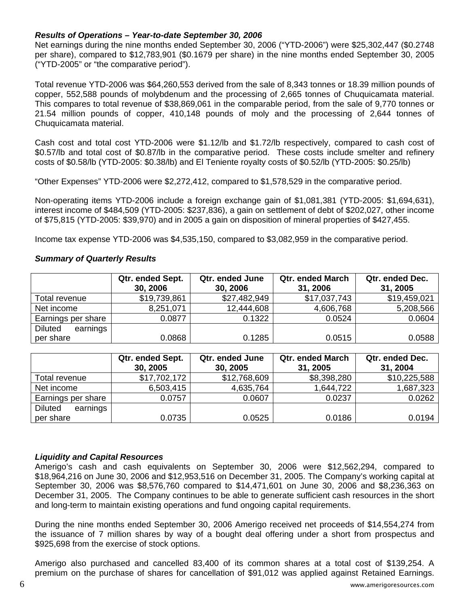## *Results of Operations – Year-to-date September 30, 2006*

Net earnings during the nine months ended September 30, 2006 ("YTD-2006") were \$25,302,447 (\$0.2748 per share), compared to \$12,783,901 (\$0.1679 per share) in the nine months ended September 30, 2005 ("YTD-2005" or "the comparative period").

Total revenue YTD-2006 was \$64,260,553 derived from the sale of 8,343 tonnes or 18.39 million pounds of copper, 552,588 pounds of molybdenum and the processing of 2,665 tonnes of Chuquicamata material. This compares to total revenue of \$38,869,061 in the comparable period, from the sale of 9,770 tonnes or 21.54 million pounds of copper, 410,148 pounds of moly and the processing of 2,644 tonnes of Chuquicamata material.

Cash cost and total cost YTD-2006 were \$1.12/lb and \$1.72/lb respectively, compared to cash cost of \$0.57/lb and total cost of \$0.87/lb in the comparative period. These costs include smelter and refinery costs of \$0.58/lb (YTD-2005: \$0.38/lb) and El Teniente royalty costs of \$0.52/lb (YTD-2005: \$0.25/lb)

"Other Expenses" YTD-2006 were \$2,272,412, compared to \$1,578,529 in the comparative period.

Non-operating items YTD-2006 include a foreign exchange gain of \$1,081,381 (YTD-2005: \$1,694,631), interest income of \$484,509 (YTD-2005: \$237,836), a gain on settlement of debt of \$202,027, other income of \$75,815 (YTD-2005: \$39,970) and in 2005 a gain on disposition of mineral properties of \$427,455.

Income tax expense YTD-2006 was \$4,535,150, compared to \$3,082,959 in the comparative period.

## *Summary of Quarterly Results*

|                            | Qtr. ended Sept.<br>30, 2006 | Qtr. ended June<br>30, 2006 | <b>Qtr. ended March</b><br>31, 2006 | Qtr. ended Dec.<br>31, 2005 |
|----------------------------|------------------------------|-----------------------------|-------------------------------------|-----------------------------|
| Total revenue              | \$19,739,861                 | \$27,482,949                | \$17,037,743                        | \$19,459,021                |
| Net income                 | 8,251,071                    | 12,444,608                  | 4,606,768                           | 5,208,566                   |
| Earnings per share         | 0.0877                       | 0.1322                      | 0.0524                              | 0.0604                      |
| <b>Diluted</b><br>earnings |                              |                             |                                     |                             |
| per share                  | 0.0868                       | 0.1285                      | 0.0515                              | 0.0588                      |

|                            | Qtr. ended Sept.<br>30, 2005 | Qtr. ended June<br>30, 2005 | <b>Qtr. ended March</b><br>31, 2005 | Qtr. ended Dec.<br>31, 2004 |
|----------------------------|------------------------------|-----------------------------|-------------------------------------|-----------------------------|
| Total revenue              | \$17,702,172                 | \$12,768,609                | \$8,398,280                         | \$10,225,588                |
| Net income                 | 6,503,415                    | 4,635,764                   | 1,644,722                           | 1,687,323                   |
| Earnings per share         | 0.0757                       | 0.0607                      | 0.0237                              | 0.0262                      |
| <b>Diluted</b><br>earnings |                              |                             |                                     |                             |
| per share                  | 0.0735                       | 0.0525                      | 0.0186                              | 0.0194                      |

### *Liquidity and Capital Resources*

Amerigo's cash and cash equivalents on September 30, 2006 were \$12,562,294, compared to \$18,964,216 on June 30, 2006 and \$12,953,516 on December 31, 2005. The Company's working capital at September 30, 2006 was \$8,576,760 compared to \$14,471,601 on June 30, 2006 and \$8,236,363 on December 31, 2005. The Company continues to be able to generate sufficient cash resources in the short and long-term to maintain existing operations and fund ongoing capital requirements.

During the nine months ended September 30, 2006 Amerigo received net proceeds of \$14,554,274 from the issuance of 7 million shares by way of a bought deal offering under a short from prospectus and \$925,698 from the exercise of stock options.

Amerigo also purchased and cancelled 83,400 of its common shares at a total cost of \$139,254. A premium on the purchase of shares for cancellation of \$91,012 was applied against Retained Earnings.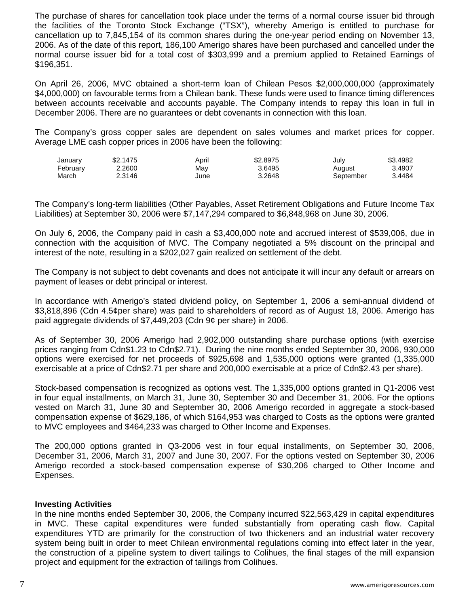The purchase of shares for cancellation took place under the terms of a normal course issuer bid through the facilities of the Toronto Stock Exchange ("TSX"), whereby Amerigo is entitled to purchase for cancellation up to 7,845,154 of its common shares during the one-year period ending on November 13, 2006. As of the date of this report, 186,100 Amerigo shares have been purchased and cancelled under the normal course issuer bid for a total cost of \$303,999 and a premium applied to Retained Earnings of \$196,351.

On April 26, 2006, MVC obtained a short-term loan of Chilean Pesos \$2,000,000,000 (approximately \$4,000,000) on favourable terms from a Chilean bank. These funds were used to finance timing differences between accounts receivable and accounts payable. The Company intends to repay this loan in full in December 2006. There are no guarantees or debt covenants in connection with this loan.

The Company's gross copper sales are dependent on sales volumes and market prices for copper. Average LME cash copper prices in 2006 have been the following:

| Januarv  | \$2.1475 | April | \$2,8975 | July      | \$3.4982 |
|----------|----------|-------|----------|-----------|----------|
| February | 2.2600   | May   | 3.6495   | August    | 3.4907   |
| March    | 2.3146   | June  | 3.2648   | September | 3.4484   |

The Company's long-term liabilities (Other Payables, Asset Retirement Obligations and Future Income Tax Liabilities) at September 30, 2006 were \$7,147,294 compared to \$6,848,968 on June 30, 2006.

On July 6, 2006, the Company paid in cash a \$3,400,000 note and accrued interest of \$539,006, due in connection with the acquisition of MVC. The Company negotiated a 5% discount on the principal and interest of the note, resulting in a \$202,027 gain realized on settlement of the debt.

The Company is not subject to debt covenants and does not anticipate it will incur any default or arrears on payment of leases or debt principal or interest.

In accordance with Amerigo's stated dividend policy, on September 1, 2006 a semi-annual dividend of \$3,818,896 (Cdn 4.5¢per share) was paid to shareholders of record as of August 18, 2006. Amerigo has paid aggregate dividends of \$7,449,203 (Cdn 9¢ per share) in 2006.

As of September 30, 2006 Amerigo had 2,902,000 outstanding share purchase options (with exercise prices ranging from Cdn\$1.23 to Cdn\$2.71). During the nine months ended September 30, 2006, 930,000 options were exercised for net proceeds of \$925,698 and 1,535,000 options were granted (1,335,000 exercisable at a price of Cdn\$2.71 per share and 200,000 exercisable at a price of Cdn\$2.43 per share).

Stock-based compensation is recognized as options vest. The 1,335,000 options granted in Q1-2006 vest in four equal installments, on March 31, June 30, September 30 and December 31, 2006. For the options vested on March 31, June 30 and September 30, 2006 Amerigo recorded in aggregate a stock-based compensation expense of \$629,186, of which \$164,953 was charged to Costs as the options were granted to MVC employees and \$464,233 was charged to Other Income and Expenses.

The 200,000 options granted in Q3-2006 vest in four equal installments, on September 30, 2006, December 31, 2006, March 31, 2007 and June 30, 2007. For the options vested on September 30, 2006 Amerigo recorded a stock-based compensation expense of \$30,206 charged to Other Income and Expenses.

### **Investing Activities**

In the nine months ended September 30, 2006, the Company incurred \$22,563,429 in capital expenditures in MVC. These capital expenditures were funded substantially from operating cash flow. Capital expenditures YTD are primarily for the construction of two thickeners and an industrial water recovery system being built in order to meet Chilean environmental regulations coming into effect later in the year, the construction of a pipeline system to divert tailings to Colihues, the final stages of the mill expansion project and equipment for the extraction of tailings from Colihues.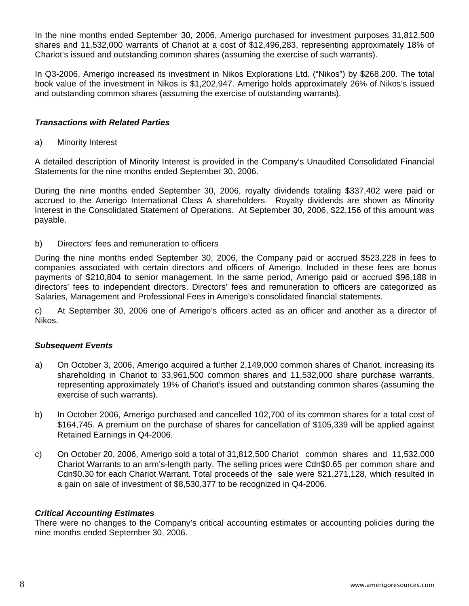In the nine months ended September 30, 2006, Amerigo purchased for investment purposes 31,812,500 shares and 11,532,000 warrants of Chariot at a cost of \$12,496,283, representing approximately 18% of Chariot's issued and outstanding common shares (assuming the exercise of such warrants).

In Q3-2006, Amerigo increased its investment in Nikos Explorations Ltd. ("Nikos") by \$268,200. The total book value of the investment in Nikos is \$1,202,947. Amerigo holds approximately 26% of Nikos's issued and outstanding common shares (assuming the exercise of outstanding warrants).

# *Transactions with Related Parties*

a) Minority Interest

A detailed description of Minority Interest is provided in the Company's Unaudited Consolidated Financial Statements for the nine months ended September 30, 2006.

During the nine months ended September 30, 2006, royalty dividends totaling \$337,402 were paid or accrued to the Amerigo International Class A shareholders. Royalty dividends are shown as Minority Interest in the Consolidated Statement of Operations. At September 30, 2006, \$22,156 of this amount was payable.

### b) Directors' fees and remuneration to officers

During the nine months ended September 30, 2006, the Company paid or accrued \$523,228 in fees to companies associated with certain directors and officers of Amerigo. Included in these fees are bonus payments of \$210,804 to senior management. In the same period, Amerigo paid or accrued \$96,188 in directors' fees to independent directors. Directors' fees and remuneration to officers are categorized as Salaries, Management and Professional Fees in Amerigo's consolidated financial statements.

c) At September 30, 2006 one of Amerigo's officers acted as an officer and another as a director of Nikos.

# *Subsequent Events*

- a) On October 3, 2006, Amerigo acquired a further 2,149,000 common shares of Chariot, increasing its shareholding in Chariot to 33,961,500 common shares and 11,532,000 share purchase warrants, representing approximately 19% of Chariot's issued and outstanding common shares (assuming the exercise of such warrants).
- b) In October 2006, Amerigo purchased and cancelled 102,700 of its common shares for a total cost of \$164,745. A premium on the purchase of shares for cancellation of \$105,339 will be applied against Retained Earnings in Q4-2006.
- c) On October 20, 2006, Amerigo sold a total of 31,812,500 Chariot common shares and 11,532,000 Chariot Warrants to an arm's-length party. The selling prices were Cdn\$0.65 per common share and Cdn\$0.30 for each Chariot Warrant. Total proceeds of the sale were \$21,271,128, which resulted in a gain on sale of investment of \$8,530,377 to be recognized in Q4-2006.

### *Critical Accounting Estimates*

There were no changes to the Company's critical accounting estimates or accounting policies during the nine months ended September 30, 2006.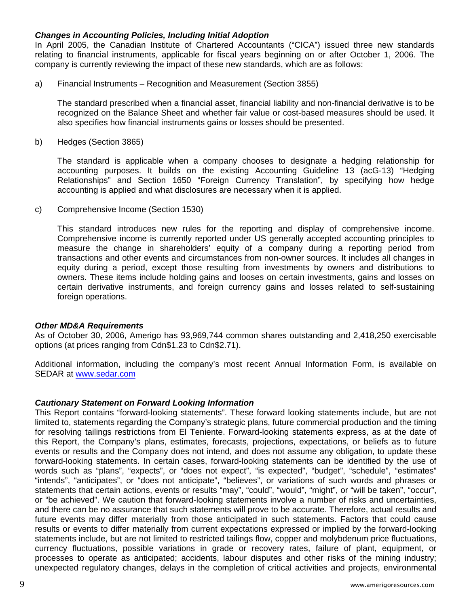### *Changes in Accounting Policies, Including Initial Adoption*

In April 2005, the Canadian Institute of Chartered Accountants ("CICA") issued three new standards relating to financial instruments, applicable for fiscal years beginning on or after October 1, 2006. The company is currently reviewing the impact of these new standards, which are as follows:

a) Financial Instruments – Recognition and Measurement (Section 3855)

The standard prescribed when a financial asset, financial liability and non-financial derivative is to be recognized on the Balance Sheet and whether fair value or cost-based measures should be used. It also specifies how financial instruments gains or losses should be presented.

b) Hedges (Section 3865)

The standard is applicable when a company chooses to designate a hedging relationship for accounting purposes. It builds on the existing Accounting Guideline 13 (acG-13) "Hedging Relationships" and Section 1650 "Foreign Currency Translation", by specifying how hedge accounting is applied and what disclosures are necessary when it is applied.

c) Comprehensive Income (Section 1530)

This standard introduces new rules for the reporting and display of comprehensive income. Comprehensive income is currently reported under US generally accepted accounting principles to measure the change in shareholders' equity of a company during a reporting period from transactions and other events and circumstances from non-owner sources. It includes all changes in equity during a period, except those resulting from investments by owners and distributions to owners. These items include holding gains and looses on certain investments, gains and losses on certain derivative instruments, and foreign currency gains and losses related to self-sustaining foreign operations.

### *Other MD&A Requirements*

As of October 30, 2006, Amerigo has 93,969,744 common shares outstanding and 2,418,250 exercisable options (at prices ranging from Cdn\$1.23 to Cdn\$2.71).

Additional information, including the company's most recent Annual Information Form, is available on SEDAR at [www.sedar.com](http://www.sedar.com/)

### *Cautionary Statement on Forward Looking Information*

This Report contains "forward-looking statements". These forward looking statements include, but are not limited to, statements regarding the Company's strategic plans, future commercial production and the timing for resolving tailings restrictions from El Teniente. Forward-looking statements express, as at the date of this Report, the Company's plans, estimates, forecasts, projections, expectations, or beliefs as to future events or results and the Company does not intend, and does not assume any obligation, to update these forward-looking statements. In certain cases, forward-looking statements can be identified by the use of words such as "plans", "expects", or "does not expect", "is expected", "budget", "schedule", "estimates" "intends", "anticipates", or "does not anticipate", "believes", or variations of such words and phrases or statements that certain actions, events or results "may", "could", "would", "might", or "will be taken", "occur", or "be achieved". We caution that forward-looking statements involve a number of risks and uncertainties, and there can be no assurance that such statements will prove to be accurate. Therefore, actual results and future events may differ materially from those anticipated in such statements. Factors that could cause results or events to differ materially from current expectations expressed or implied by the forward-looking statements include, but are not limited to restricted tailings flow, copper and molybdenum price fluctuations, currency fluctuations, possible variations in grade or recovery rates, failure of plant, equipment, or processes to operate as anticipated; accidents, labour disputes and other risks of the mining industry; unexpected regulatory changes, delays in the completion of critical activities and projects, environmental